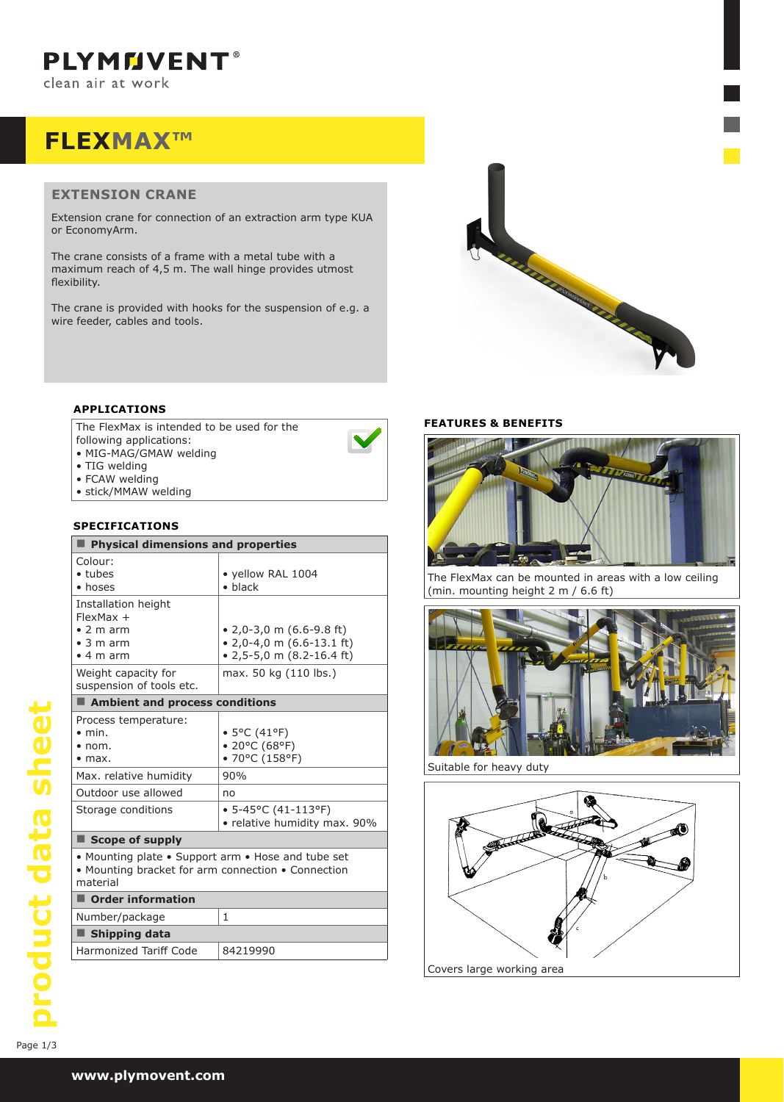**PLYMMVENT®** clean air at work

# **FLEXMAX™**

## **EXTENSION CRANE**

Extension crane for connection of an extraction arm type KUA or EconomyArm.

The crane consists of a frame with a metal tube with a maximum reach of 4,5 m. The wall hinge provides utmost flexibility.

The crane is provided with hooks for the suspension of e.g. a wire feeder, cables and tools.



### **APPLICATIONS**

The FlexMax is intended to be used for the

- following applications:
- • MIG-MAG/GMAW welding
- TIG welding
- FCAW welding
- stick/MMAW welding

# **SPECIFICATIONS**

| Physical dimensions and properties                                                                                   |                                                                                                            |  |  |  |  |
|----------------------------------------------------------------------------------------------------------------------|------------------------------------------------------------------------------------------------------------|--|--|--|--|
| Colour:<br>$\bullet$ tubes<br>• hoses                                                                                | • yellow RAL 1004<br>$\bullet$ black                                                                       |  |  |  |  |
| Installation height<br>$FlexMax +$<br>$\bullet$ 2 m arm<br>$\bullet$ 3 m arm<br>$\bullet$ 4 m arm                    | $\bullet$ 2,0-3,0 m (6.6-9.8 ft)<br>$\bullet$ 2,0-4,0 m (6.6-13.1 ft)<br>$\bullet$ 2,5-5,0 m (8.2-16.4 ft) |  |  |  |  |
| Weight capacity for<br>suspension of tools etc.                                                                      | max. 50 kg (110 lbs.)                                                                                      |  |  |  |  |
| Ambient and process conditions                                                                                       |                                                                                                            |  |  |  |  |
| Process temperature:<br>$\bullet$ min.<br>$\bullet$ nom.<br>$\bullet$ max.                                           | • 5°C (41°F)<br>• 20°C (68°F)<br>• 70°C (158°F)                                                            |  |  |  |  |
| Max. relative humidity                                                                                               | 90%                                                                                                        |  |  |  |  |
| Outdoor use allowed                                                                                                  | no                                                                                                         |  |  |  |  |
| Storage conditions                                                                                                   | $\bullet$ 5-45°C (41-113°F)<br>• relative humidity max. 90%                                                |  |  |  |  |
| $\blacksquare$ Scope of supply                                                                                       |                                                                                                            |  |  |  |  |
| • Mounting plate • Support arm • Hose and tube set<br>• Mounting bracket for arm connection • Connection<br>material |                                                                                                            |  |  |  |  |
| Order information                                                                                                    |                                                                                                            |  |  |  |  |
| Number/package                                                                                                       | 1                                                                                                          |  |  |  |  |
| ■ Shipping data                                                                                                      |                                                                                                            |  |  |  |  |
| Harmonized Tariff Code                                                                                               | 84219990                                                                                                   |  |  |  |  |

### **FEATURES & BENEFITS**



The FlexMax can be mounted in areas with a low ceiling mounting height 2 m / 6.6 ft) **e.** Ballering neight **z** in *f* **b.d** it*f* 



**Suitable for heavy duty** 

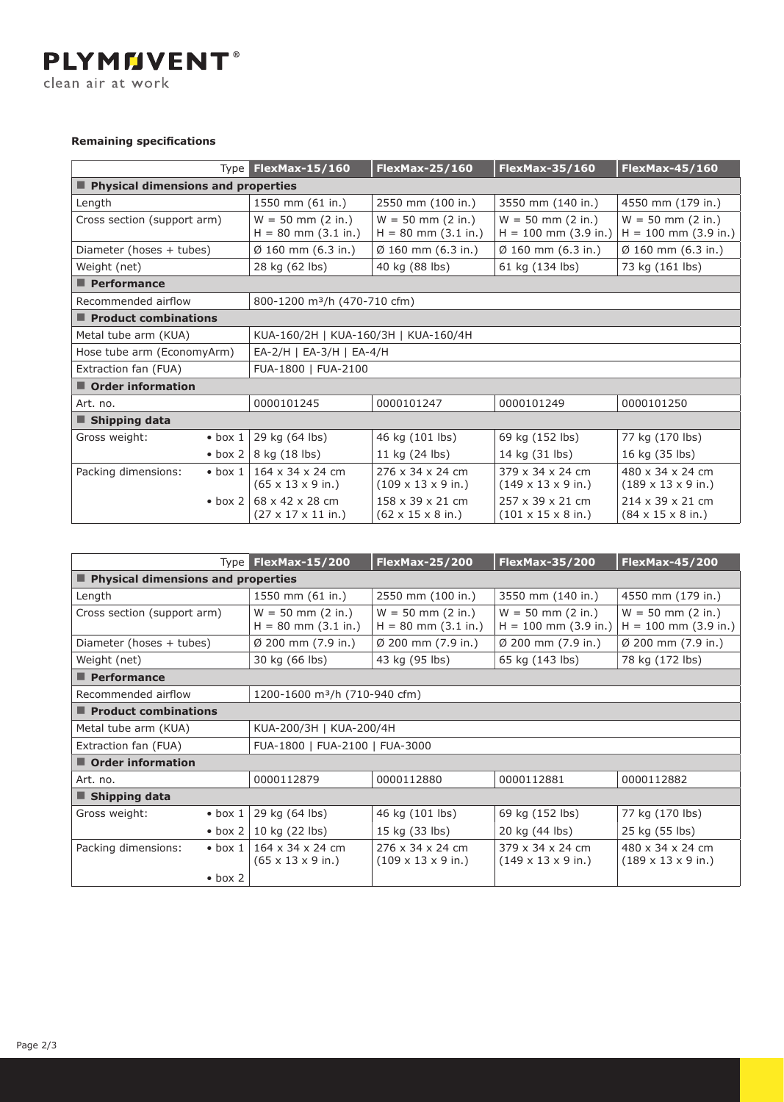**PLYMMVENT®** clean air at work

# **Remaining specifications**

|                                        | Type FlexMax-15/160                                | <b>FlexMax-25/160</b>                                     | <b>FlexMax-35/160</b>                                      | <b>FlexMax-45/160</b>                                     |  |  |
|----------------------------------------|----------------------------------------------------|-----------------------------------------------------------|------------------------------------------------------------|-----------------------------------------------------------|--|--|
| Physical dimensions and properties     |                                                    |                                                           |                                                            |                                                           |  |  |
| Length                                 | 1550 mm (61 in.)                                   | 2550 mm (100 in.)                                         | 3550 mm (140 in.)                                          | 4550 mm (179 in.)                                         |  |  |
| Cross section (support arm)            | $W = 50$ mm (2 in.)<br>$H = 80$ mm $(3.1$ in.)     | $W = 50$ mm (2 in.)<br>$H = 80$ mm $(3.1$ in.)            | $W = 50$ mm (2 in.)<br>$H = 100$ mm (3.9 in.)              | $W = 50$ mm (2 in.)<br>$H = 100$ mm (3.9 in.)             |  |  |
| Diameter (hoses + tubes)               | $\emptyset$ 160 mm (6.3 in.)                       | $\emptyset$ 160 mm (6.3 in.)                              | $\emptyset$ 160 mm (6.3 in.)                               | $\emptyset$ 160 mm (6.3 in.)                              |  |  |
| Weight (net)                           | 28 kg (62 lbs)                                     | 40 kg (88 lbs)                                            | 61 kg (134 lbs)                                            | 73 kg (161 lbs)                                           |  |  |
| $\blacksquare$ Performance             |                                                    |                                                           |                                                            |                                                           |  |  |
| Recommended airflow                    | 800-1200 m <sup>3</sup> /h (470-710 cfm)           |                                                           |                                                            |                                                           |  |  |
| $\blacksquare$ Product combinations    |                                                    |                                                           |                                                            |                                                           |  |  |
| Metal tube arm (KUA)                   | KUA-160/2H   KUA-160/3H   KUA-160/4H               |                                                           |                                                            |                                                           |  |  |
| Hose tube arm (EconomyArm)             |                                                    | $EA-2/H$   $EA-3/H$   $EA-4/H$                            |                                                            |                                                           |  |  |
| Extraction fan (FUA)                   | FUA-1800   FUA-2100                                |                                                           |                                                            |                                                           |  |  |
| $\blacksquare$ Order information       |                                                    |                                                           |                                                            |                                                           |  |  |
| Art. no.                               | 0000101245                                         | 0000101247                                                | 0000101249                                                 | 0000101250                                                |  |  |
| Shipping data                          |                                                    |                                                           |                                                            |                                                           |  |  |
| Gross weight:<br>$\bullet$ box 1       | 29 kg (64 lbs)                                     | 46 kg (101 lbs)                                           | 69 kg (152 lbs)                                            | 77 kg (170 lbs)                                           |  |  |
| $\bullet$ box 2                        | 8 kg (18 lbs)                                      | 11 kg (24 lbs)                                            | 14 kg (31 lbs)                                             | 16 kg (35 lbs)                                            |  |  |
| Packing dimensions:<br>$\bullet$ box 1 | 164 x 34 x 24 cm<br>$(65 \times 13 \times 9)$ in.) | 276 x 34 x 24 cm<br>$(109 \times 13 \times 9)$ in.)       | 379 x 34 x 24 cm<br>$(149 \times 13 \times 9)$ in.)        | 480 x 34 x 24 cm<br>$(189 \times 13 \times 9)$ in.)       |  |  |
| $\bullet$ box 2                        | 68 x 42 x 28 cm<br>$(27 \times 17 \times 11)$ in.) | 158 x 39 x 21 cm<br>$(62 \times 15 \times 8 \text{ in.})$ | 257 x 39 x 21 cm<br>$(101 \times 15 \times 8 \text{ in.})$ | 214 x 39 x 21 cm<br>$(84 \times 15 \times 8 \text{ in.})$ |  |  |

|                                      | Type <sub>l</sub>                  | <b>FlexMax-15/200</b>                                          | <b>FlexMax-25/200</b>                                           | <b>FlexMax-35/200</b>                               | <b>FlexMax-45/200</b>                               |  |
|--------------------------------------|------------------------------------|----------------------------------------------------------------|-----------------------------------------------------------------|-----------------------------------------------------|-----------------------------------------------------|--|
| ■ Physical dimensions and properties |                                    |                                                                |                                                                 |                                                     |                                                     |  |
| Length                               |                                    | 1550 mm (61 in.)                                               | 2550 mm (100 in.)                                               | 3550 mm (140 in.)                                   | 4550 mm (179 in.)                                   |  |
| Cross section (support arm)          |                                    | $W = 50$ mm (2 in.)<br>$H = 80$ mm $(3.1$ in.)                 | $W = 50$ mm (2 in.)<br>$H = 80$ mm $(3.1$ in.)                  | $W = 50$ mm (2 in.)<br>$H = 100$ mm (3.9 in.)       | $W = 50$ mm (2 in.)<br>$H = 100$ mm (3.9 in.)       |  |
| Diameter (hoses + tubes)             |                                    | $\varnothing$ 200 mm (7.9 in.)                                 | $\varnothing$ 200 mm (7.9 in.)                                  | $\varnothing$ 200 mm (7.9 in.)                      | Ø 200 mm (7.9 in.)                                  |  |
| Weight (net)                         |                                    | 30 kg (66 lbs)                                                 | 43 kg (95 lbs)                                                  | 65 kg (143 lbs)                                     | 78 kg (172 lbs)                                     |  |
| $\blacksquare$ Performance           |                                    |                                                                |                                                                 |                                                     |                                                     |  |
| Recommended airflow                  |                                    | 1200-1600 m <sup>3</sup> /h (710-940 cfm)                      |                                                                 |                                                     |                                                     |  |
| $\blacksquare$ Product combinations  |                                    |                                                                |                                                                 |                                                     |                                                     |  |
| Metal tube arm (KUA)                 |                                    | KUA-200/3H   KUA-200/4H                                        |                                                                 |                                                     |                                                     |  |
| Extraction fan (FUA)                 |                                    | FUA-1800   FUA-2100   FUA-3000                                 |                                                                 |                                                     |                                                     |  |
| $\blacksquare$ Order information     |                                    |                                                                |                                                                 |                                                     |                                                     |  |
| Art. no.                             |                                    | 0000112879                                                     | 0000112880                                                      | 0000112881                                          | 0000112882                                          |  |
| $\blacksquare$ Shipping data         |                                    |                                                                |                                                                 |                                                     |                                                     |  |
| Gross weight:                        | $\bullet$ box 1                    | 29 kg (64 lbs)                                                 | 46 kg (101 lbs)                                                 | 69 kg (152 lbs)                                     | 77 kg (170 lbs)                                     |  |
|                                      | $\bullet$ box 2                    | 10 kg (22 lbs)                                                 | 15 kg (33 lbs)                                                  | 20 kg (44 lbs)                                      | 25 kg (55 lbs)                                      |  |
| Packing dimensions:                  | $\bullet$ box 1<br>$\bullet$ box 2 | $164 \times 34 \times 24$ cm<br>$(65 \times 13 \times 9)$ in.) | $276 \times 34 \times 24$ cm<br>$(109 \times 13 \times 9)$ in.) | 379 x 34 x 24 cm<br>$(149 \times 13 \times 9)$ in.) | 480 x 34 x 24 cm<br>$(189 \times 13 \times 9)$ in.) |  |
|                                      |                                    |                                                                |                                                                 |                                                     |                                                     |  |